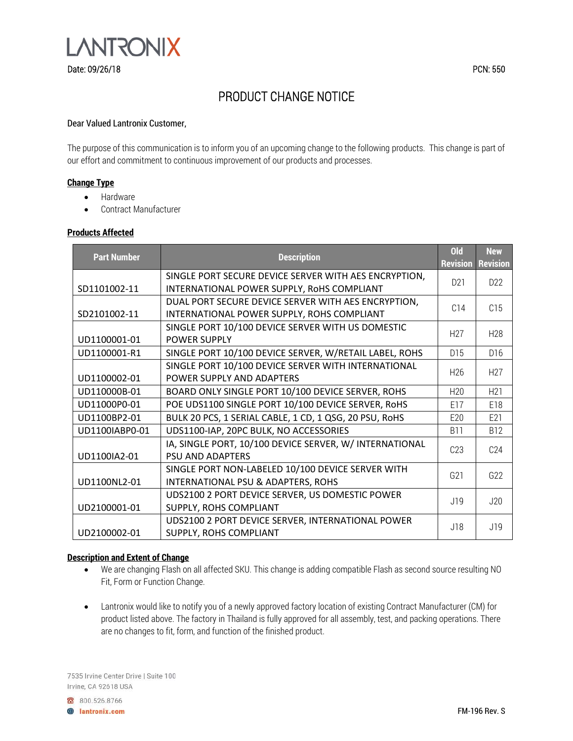

# PRODUCT CHANGE NOTICE

## Dear Valued Lantronix Customer,

The purpose of this communication is to inform you of an upcoming change to the following products. This change is part of our effort and commitment to continuous improvement of our products and processes.

# **Change Type**

- Hardware
- Contract Manufacturer

#### **Products Affected**

| <b>Part Number</b> | <b>Description</b>                                                                                  | <b>Old</b><br><b>Revision</b> | <b>New</b><br><b>Revision</b> |
|--------------------|-----------------------------------------------------------------------------------------------------|-------------------------------|-------------------------------|
| SD1101002-11       | SINGLE PORT SECURE DEVICE SERVER WITH AES ENCRYPTION,<br>INTERNATIONAL POWER SUPPLY, RoHS COMPLIANT |                               | D22                           |
| SD2101002-11       | DUAL PORT SECURE DEVICE SERVER WITH AES ENCRYPTION,<br>INTERNATIONAL POWER SUPPLY, ROHS COMPLIANT   |                               | C15                           |
| UD1100001-01       | SINGLE PORT 10/100 DEVICE SERVER WITH US DOMESTIC<br><b>POWER SUPPLY</b>                            | H <sub>2</sub> 7              | H <sub>28</sub>               |
| UD1100001-R1       | SINGLE PORT 10/100 DEVICE SERVER, W/RETAIL LABEL, ROHS                                              | D15                           | D16                           |
| UD1100002-01       | SINGLE PORT 10/100 DEVICE SERVER WITH INTERNATIONAL<br>POWER SUPPLY AND ADAPTERS                    | H <sub>26</sub>               | H <sub>2</sub> 7              |
| UD110000B-01       | BOARD ONLY SINGLE PORT 10/100 DEVICE SERVER, ROHS                                                   |                               | H <sub>21</sub>               |
| UD11000P0-01       | POE UDS1100 SINGLE PORT 10/100 DEVICE SERVER, RoHS                                                  |                               | E18                           |
| UD1100BP2-01       | BULK 20 PCS, 1 SERIAL CABLE, 1 CD, 1 QSG, 20 PSU, RoHS                                              |                               | F <sub>21</sub>               |
| UD1100IABP0-01     | UDS1100-IAP, 20PC BULK, NO ACCESSORIES                                                              |                               | <b>B12</b>                    |
| UD1100IA2-01       | IA, SINGLE PORT, 10/100 DEVICE SERVER, W/ INTERNATIONAL<br>PSU AND ADAPTERS                         | C23                           | C <sub>24</sub>               |
| UD1100NL2-01       | SINGLE PORT NON-LABELED 10/100 DEVICE SERVER WITH<br>INTERNATIONAL PSU & ADAPTERS, ROHS             | G21                           | G22                           |
| UD2100001-01       | UDS2100 2 PORT DEVICE SERVER, US DOMESTIC POWER<br>SUPPLY, ROHS COMPLIANT                           | J19                           | J20                           |
| UD2100002-01       | UDS2100 2 PORT DEVICE SERVER, INTERNATIONAL POWER<br>SUPPLY, ROHS COMPLIANT                         | J18                           | J19                           |

# **Description and Extent of Change**

- We are changing Flash on all affected SKU. This change is adding compatible Flash as second source resulting NO Fit, Form or Function Change.
- Lantronix would like to notify you of a newly approved factory location of existing Contract Manufacturer (CM) for product listed above. The factory in Thailand is fully approved for all assembly, test, and packing operations. There are no changes to fit, form, and function of the finished product.

7535 Irvine Center Drive | Suite 100 Irvine, CA 92618 USA

800.526.8766 **B** lantronix.com